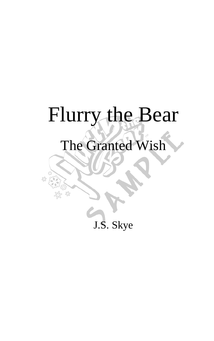## Flurry the Bear

## The Granted Wish

£ß

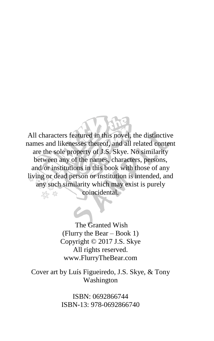All characters featured in this novel, the distinctive names and likenesses thereof, and all related content are the sole property of J.S. Skye. No similarity between any of the names, characters, persons, and/or institutions in this book with those of any living or dead person or institution is intended, and any such similarity which may exist is purely coincidental.

> The Granted Wish (Flurry the Bear – Book 1) Copyright © 2017 J.S. Skye All rights reserved. www.FlurryTheBear.com

Cover art by Luís Figueiredo, J.S. Skye, & Tony Washington

> ISBN: 0692866744 ISBN-13: 978-0692866740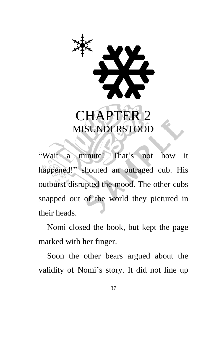

"Wait a minute! That's not how it happened!" shouted an outraged cub. His outburst disrupted the mood. The other cubs snapped out of the world they pictured in their heads.

Nomi closed the book, but kept the page marked with her finger.

Soon the other bears argued about the validity of Nomi's story. It did not line up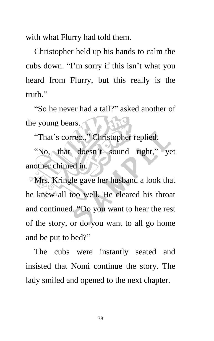with what Flurry had told them.

Christopher held up his hands to calm the cubs down. "I'm sorry if this isn't what you heard from Flurry, but this really is the truth"

"So he never had a tail?" asked another of the young bears.

"That's correct," Christopher replied.

"No, that doesn't sound right," yet another chimed in.

Mrs. Kringle gave her husband a look that he knew all too well. He cleared his throat and continued. "Do you want to hear the rest of the story, or do you want to all go home and be put to bed?"

The cubs were instantly seated and insisted that Nomi continue the story. The lady smiled and opened to the next chapter.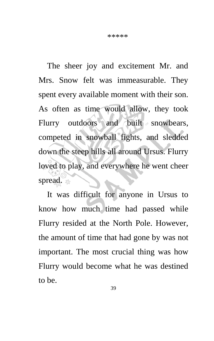The sheer joy and excitement Mr. and Mrs. Snow felt was immeasurable. They spent every available moment with their son. As often as time would allow, they took Flurry outdoors and built snowbears, competed in snowball fights, and sledded down the steep hills all around Ursus. Flurry loved to play, and everywhere he went cheer spread.

It was difficult for anyone in Ursus to know how much time had passed while Flurry resided at the North Pole. However, the amount of time that had gone by was not important. The most crucial thing was how Flurry would become what he was destined to be.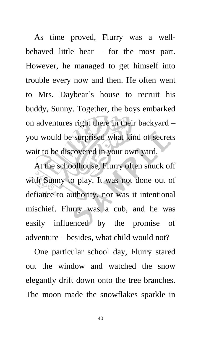As time proved, Flurry was a wellbehaved little bear – for the most part. However, he managed to get himself into trouble every now and then. He often went to Mrs. Daybear's house to recruit his buddy, Sunny. Together, the boys embarked on adventures right there in their backyard – you would be surprised what kind of secrets wait to be discovered in your own yard.

At the schoolhouse, Flurry often snuck off with Sunny to play. It was not done out of defiance to authority, nor was it intentional mischief. Flurry was a cub, and he was easily influenced by the promise of adventure – besides, what child would not?

One particular school day, Flurry stared out the window and watched the snow elegantly drift down onto the tree branches. The moon made the snowflakes sparkle in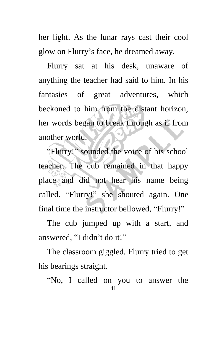her light. As the lunar rays cast their cool glow on Flurry's face, he dreamed away.

Flurry sat at his desk, unaware of anything the teacher had said to him. In his fantasies of great adventures, which beckoned to him from the distant horizon, her words began to break through as if from another world.

"Flurry!" sounded the voice of his school teacher. The cub remained in that happy place and did not hear his name being called. "Flurry!" she shouted again. One final time the instructor bellowed, "Flurry!"

The cub jumped up with a start, and answered, "I didn't do it!"

The classroom giggled. Flurry tried to get his bearings straight.

41 "No, I called on you to answer the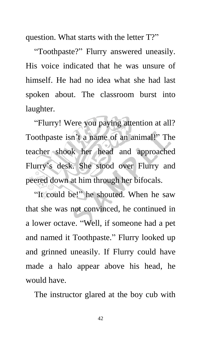question. What starts with the letter T?"

"Toothpaste?" Flurry answered uneasily. His voice indicated that he was unsure of himself. He had no idea what she had last spoken about. The classroom burst into laughter.

"Flurry! Were you paying attention at all? Toothpaste isn't a name of an animal!" The teacher shook her head and approached Flurry's desk. She stood over Flurry and peered down at him through her bifocals.

"It could be!" he shouted. When he saw that she was not convinced, he continued in a lower octave. "Well, if someone had a pet and named it Toothpaste." Flurry looked up and grinned uneasily. If Flurry could have made a halo appear above his head, he would have.

The instructor glared at the boy cub with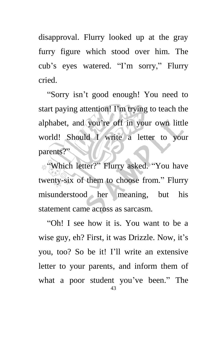disapproval. Flurry looked up at the gray furry figure which stood over him. The cub's eyes watered. "I'm sorry," Flurry cried.

"Sorry isn't good enough! You need to start paying attention! I'm trying to teach the alphabet, and you're off in your own little world! Should I write a letter to your parents?"

"Which letter?" Flurry asked. "You have twenty-six of them to choose from." Flurry misunderstood her meaning, but his statement came across as sarcasm.

43 "Oh! I see how it is. You want to be a wise guy, eh? First, it was Drizzle. Now, it's you, too? So be it! I'll write an extensive letter to your parents, and inform them of what a poor student you've been." The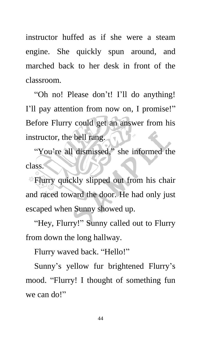instructor huffed as if she were a steam engine. She quickly spun around, and marched back to her desk in front of the classroom.

"Oh no! Please don't! I'll do anything! I'll pay attention from now on, I promise!" Before Flurry could get an answer from his instructor, the bell rang.

"You're all dismissed," she informed the class.

Flurry quickly slipped out from his chair and raced toward the door. He had only just escaped when Sunny showed up.

"Hey, Flurry!" Sunny called out to Flurry from down the long hallway.

Flurry waved back. "Hello!"

Sunny's yellow fur brightened Flurry's mood. "Flurry! I thought of something fun we can do!"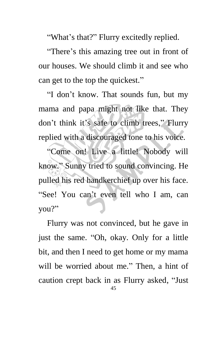"What's that?" Flurry excitedly replied.

"There's this amazing tree out in front of our houses. We should climb it and see who can get to the top the quickest."

"I don't know. That sounds fun, but my mama and papa might not like that. They don't think it's safe to climb trees," Flurry replied with a discouraged tone to his voice.

"Come on! Live a little! Nobody will know." Sunny tried to sound convincing. He pulled his red handkerchief up over his face. "See! You can't even tell who I am, can you?"

45 Flurry was not convinced, but he gave in just the same. "Oh, okay. Only for a little bit, and then I need to get home or my mama will be worried about me." Then, a hint of caution crept back in as Flurry asked, "Just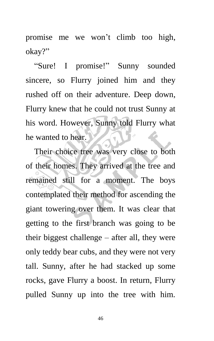promise me we won't climb too high, okay?"

"Sure! I promise!" Sunny sounded sincere, so Flurry joined him and they rushed off on their adventure. Deep down, Flurry knew that he could not trust Sunny at his word. However, Sunny told Flurry what he wanted to hear.

Their choice tree was very close to both of their homes. They arrived at the tree and remained still for a moment. The boys contemplated their method for ascending the giant towering over them. It was clear that getting to the first branch was going to be their biggest challenge – after all, they were only teddy bear cubs, and they were not very tall. Sunny, after he had stacked up some rocks, gave Flurry a boost. In return, Flurry pulled Sunny up into the tree with him.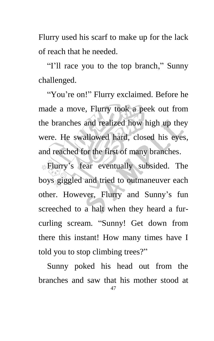Flurry used his scarf to make up for the lack of reach that he needed.

"I'll race you to the top branch," Sunny challenged.

"You're on!" Flurry exclaimed. Before he made a move, Flurry took a peek out from the branches and realized how high up they were. He swallowed hard, closed his eyes, and reached for the first of many branches.

Flurry's fear eventually subsided. The boys giggled and tried to outmaneuver each other. However, Flurry and Sunny's fun screeched to a halt when they heard a furcurling scream. "Sunny! Get down from there this instant! How many times have I told you to stop climbing trees?"

47 Sunny poked his head out from the branches and saw that his mother stood at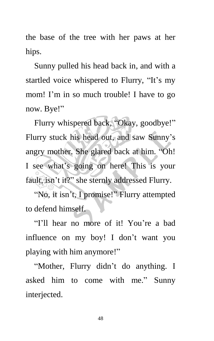the base of the tree with her paws at her hips.

Sunny pulled his head back in, and with a startled voice whispered to Flurry, "It's my mom! I'm in so much trouble! I have to go now. Bye!"

Flurry whispered back, "Okay, goodbye!" Flurry stuck his head out, and saw Sunny's angry mother. She glared back at him. "Oh! I see what's going on here! This is your fault, isn't it?" she sternly addressed Flurry.

"No, it isn't, I promise!" Flurry attempted to defend himself.

"I'll hear no more of it! You're a bad influence on my boy! I don't want you playing with him anymore!"

"Mother, Flurry didn't do anything. I asked him to come with me." Sunny interjected.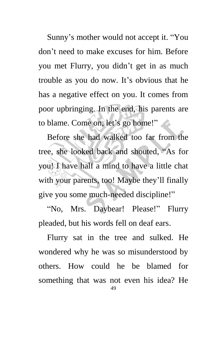Sunny's mother would not accept it. "You don't need to make excuses for him. Before you met Flurry, you didn't get in as much trouble as you do now. It's obvious that he has a negative effect on you. It comes from poor upbringing. In the end, his parents are to blame. Come on, let's go home!"

Before she had walked too far from the tree, she looked back and shouted, "As for you! I have half a mind to have a little chat with your parents, too! Maybe they'll finally give you some much-needed discipline!"

"No, Mrs. Daybear! Please!" Flurry pleaded, but his words fell on deaf ears.

49 Flurry sat in the tree and sulked. He wondered why he was so misunderstood by others. How could he be blamed for something that was not even his idea? He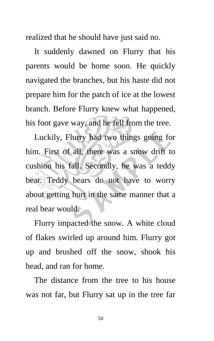realized that he should have just said no.

It suddenly dawned on Flurry that his parents would be home soon. He quickly navigated the branches, but his haste did not prepare him for the patch of ice at the lowest branch. Before Flurry knew what happened, his foot gave way, and he fell from the tree.

Luckily, Flurry had two things going for him. First of all, there was a snow drift to cushion his fall. Secondly, he was a teddy bear. Teddy bears do not have to worry about getting hurt in the same manner that a real bear would.

Flurry impacted the snow. A white cloud of flakes swirled up around him. Flurry got up and brushed off the snow, shook his head, and ran for home.

The distance from the tree to his house was not far, but Flurry sat up in the tree far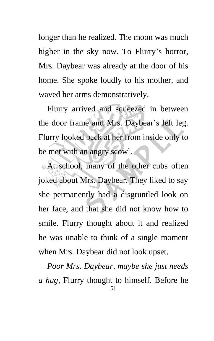longer than he realized. The moon was much higher in the sky now. To Flurry's horror, Mrs. Daybear was already at the door of his home. She spoke loudly to his mother, and waved her arms demonstratively.

Flurry arrived and squeezed in between the door frame and Mrs. Daybear's left leg. Flurry looked back at her from inside only to be met with an angry scowl.

At school, many of the other cubs often joked about Mrs. Daybear. They liked to say she permanently had a disgruntled look on her face, and that she did not know how to smile. Flurry thought about it and realized he was unable to think of a single moment when Mrs. Daybear did not look upset.

51 *Poor Mrs. Daybear, maybe she just needs a hug*, Flurry thought to himself. Before he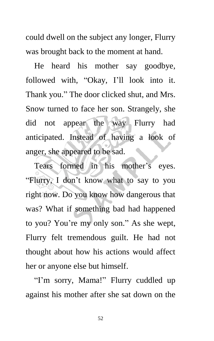could dwell on the subject any longer, Flurry was brought back to the moment at hand.

He heard his mother say goodbye, followed with, "Okay, I'll look into it. Thank you." The door clicked shut, and Mrs. Snow turned to face her son. Strangely, she did not appear the way Flurry had anticipated. Instead of having a look of anger, she appeared to be sad.

Tears formed in his mother's eyes. "Flurry, I don't know what to say to you right now. Do you know how dangerous that was? What if something bad had happened to you? You're my only son." As she wept, Flurry felt tremendous guilt. He had not thought about how his actions would affect her or anyone else but himself.

"I'm sorry, Mama!" Flurry cuddled up against his mother after she sat down on the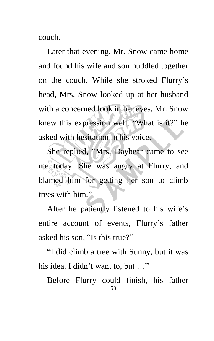couch.

Later that evening, Mr. Snow came home and found his wife and son huddled together on the couch. While she stroked Flurry's head, Mrs. Snow looked up at her husband with a concerned look in her eyes. Mr. Snow knew this expression well. "What is it?" he asked with hesitation in his voice.

She replied, "Mrs. Daybear came to see me today. She was angry at Flurry, and blamed him for getting her son to climb trees with him."

After he patiently listened to his wife's entire account of events, Flurry's father asked his son, "Is this true?"

"I did climb a tree with Sunny, but it was his idea. I didn't want to, but ..."

53 Before Flurry could finish, his father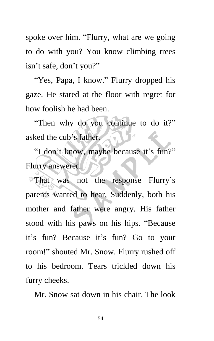spoke over him. "Flurry, what are we going to do with you? You know climbing trees isn't safe, don't you?"

"Yes, Papa, I know." Flurry dropped his gaze. He stared at the floor with regret for how foolish he had been.

"Then why do you continue to do it?" asked the cub's father.

"I don't know, maybe because it's fun?" Flurry answered.

That was not the response Flurry's parents wanted to hear. Suddenly, both his mother and father were angry. His father stood with his paws on his hips. "Because it's fun? Because it's fun? Go to your room!" shouted Mr. Snow. Flurry rushed off to his bedroom. Tears trickled down his furry cheeks.

Mr. Snow sat down in his chair. The look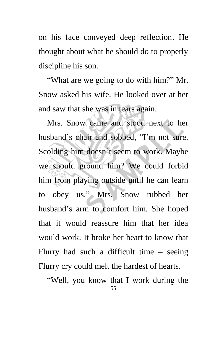on his face conveyed deep reflection. He thought about what he should do to properly discipline his son.

"What are we going to do with him?" Mr. Snow asked his wife. He looked over at her and saw that she was in tears again.

Mrs. Snow came and stood next to her husband's chair and sobbed, "I'm not sure. Scolding him doesn't seem to work. Maybe we should ground him? We could forbid him from playing outside until he can learn to obey us." Mrs. Snow rubbed her husband's arm to comfort him. She hoped that it would reassure him that her idea would work. It broke her heart to know that Flurry had such a difficult time – seeing Flurry cry could melt the hardest of hearts.

55 "Well, you know that I work during the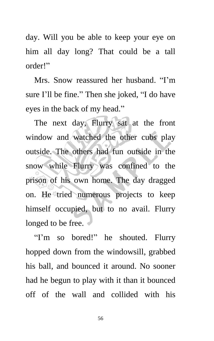day. Will you be able to keep your eye on him all day long? That could be a tall order!"

Mrs. Snow reassured her husband. "I'm sure I'll be fine." Then she joked, "I do have eyes in the back of my head."

The next day, Flurry sat at the front window and watched the other cubs play outside. The others had fun outside in the snow while Flurry was confined to the prison of his own home. The day dragged on. He tried numerous projects to keep himself occupied, but to no avail. Flurry longed to be free.

"I'm so bored!" he shouted. Flurry hopped down from the windowsill, grabbed his ball, and bounced it around. No sooner had he begun to play with it than it bounced off of the wall and collided with his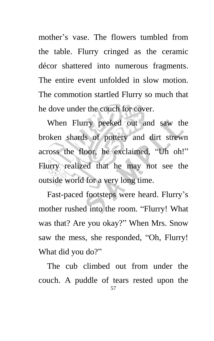mother's vase. The flowers tumbled from the table. Flurry cringed as the ceramic décor shattered into numerous fragments. The entire event unfolded in slow motion. The commotion startled Flurry so much that he dove under the couch for cover.

When Flurry peeked out and saw the broken shards of pottery and dirt strewn across the floor, he exclaimed, "Uh oh!" Flurry realized that he may not see the outside world for a very long time.

Fast-paced footsteps were heard. Flurry's mother rushed into the room. "Flurry! What was that? Are you okay?" When Mrs. Snow saw the mess, she responded, "Oh, Flurry! What did you do?"

57 The cub climbed out from under the couch. A puddle of tears rested upon the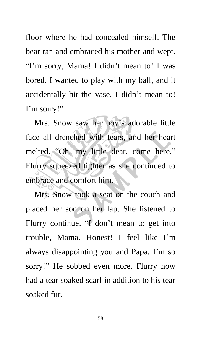floor where he had concealed himself. The bear ran and embraced his mother and wept. "I'm sorry, Mama! I didn't mean to! I was bored. I wanted to play with my ball, and it accidentally hit the vase. I didn't mean to! I'm sorry!"

Mrs. Snow saw her boy's adorable little face all drenched with tears, and her heart melted. "Oh, my little dear, come here." Flurry squeezed tighter as she continued to embrace and comfort him.

Mrs. Snow took a seat on the couch and placed her son on her lap. She listened to Flurry continue. "I don't mean to get into trouble, Mama. Honest! I feel like I'm always disappointing you and Papa. I'm so sorry!" He sobbed even more. Flurry now had a tear soaked scarf in addition to his tear soaked fur.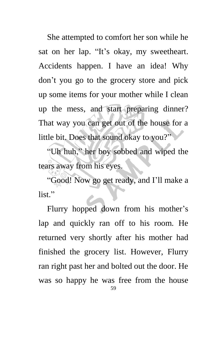She attempted to comfort her son while he sat on her lap. "It's okay, my sweetheart. Accidents happen. I have an idea! Why don't you go to the grocery store and pick up some items for your mother while I clean up the mess, and start preparing dinner? That way you can get out of the house for a little bit. Does that sound okay to you?"

"Uh huh," her boy sobbed and wiped the tears away from his eyes.

"Good! Now go get ready, and I'll make a list<sup>"</sup>

59 Flurry hopped down from his mother's lap and quickly ran off to his room. He returned very shortly after his mother had finished the grocery list. However, Flurry ran right past her and bolted out the door. He was so happy he was free from the house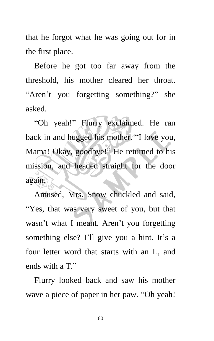that he forgot what he was going out for in the first place.

Before he got too far away from the threshold, his mother cleared her throat. "Aren't you forgetting something?" she asked.

"Oh yeah!" Flurry exclaimed. He ran back in and hugged his mother. "I love you, Mama! Okay, goodbye!" He returned to his mission, and headed straight for the door again.

Amused, Mrs. Snow chuckled and said, "Yes, that was very sweet of you, but that wasn't what I meant. Aren't you forgetting something else? I'll give you a hint. It's a four letter word that starts with an L, and ends with a T."

Flurry looked back and saw his mother wave a piece of paper in her paw. "Oh yeah!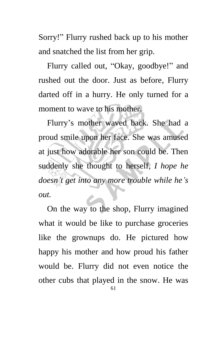Sorry!" Flurry rushed back up to his mother and snatched the list from her grip.

Flurry called out, "Okay, goodbye!" and rushed out the door. Just as before, Flurry darted off in a hurry. He only turned for a moment to wave to his mother.

Flurry's mother waved back. She had a proud smile upon her face. She was amused at just how adorable her son could be. Then suddenly she thought to herself, *I hope he doesn't get into any more trouble while he's out.*

61 On the way to the shop, Flurry imagined what it would be like to purchase groceries like the grownups do. He pictured how happy his mother and how proud his father would be. Flurry did not even notice the other cubs that played in the snow. He was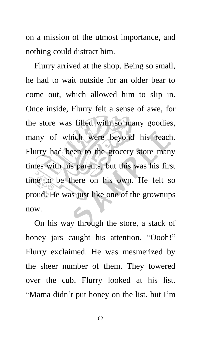on a mission of the utmost importance, and nothing could distract him.

Flurry arrived at the shop. Being so small, he had to wait outside for an older bear to come out, which allowed him to slip in. Once inside, Flurry felt a sense of awe, for the store was filled with so many goodies, many of which were beyond his reach. Flurry had been to the grocery store many times with his parents, but this was his first time to be there on his own. He felt so proud. He was just like one of the grownups now.

On his way through the store, a stack of honey jars caught his attention. "Oooh!" Flurry exclaimed. He was mesmerized by the sheer number of them. They towered over the cub. Flurry looked at his list. "Mama didn't put honey on the list, but I'm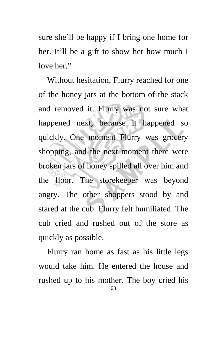sure she'll be happy if I bring one home for her. It'll be a gift to show her how much I love her $"$ 

Without hesitation, Flurry reached for one of the honey jars at the bottom of the stack and removed it. Flurry was not sure what happened next, because it happened so quickly. One moment Flurry was grocery shopping, and the next moment there were broken jars of honey spilled all over him and the floor. The storekeeper was beyond angry. The other shoppers stood by and stared at the cub. Flurry felt humiliated. The cub cried and rushed out of the store as quickly as possible.

63 Flurry ran home as fast as his little legs would take him. He entered the house and rushed up to his mother. The boy cried his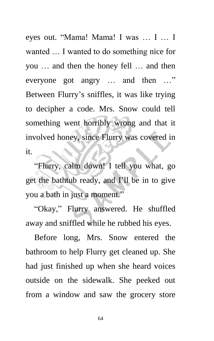eyes out. "Mama! Mama! I was … I … I wanted … I wanted to do something nice for you … and then the honey fell … and then everyone got angry … and then …" Between Flurry's sniffles, it was like trying to decipher a code. Mrs. Snow could tell something went horribly wrong and that it involved honey, since Flurry was covered in it.

"Flurry, calm down! I tell you what, go get the bathtub ready, and I'll be in to give you a bath in just a moment."

"Okay," Flurry answered. He shuffled away and sniffled while he rubbed his eyes.

Before long, Mrs. Snow entered the bathroom to help Flurry get cleaned up. She had just finished up when she heard voices outside on the sidewalk. She peeked out from a window and saw the grocery store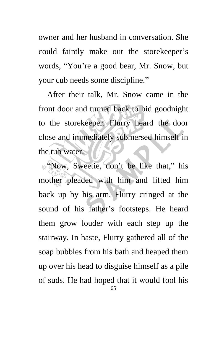owner and her husband in conversation. She could faintly make out the storekeeper's words, "You're a good bear, Mr. Snow, but your cub needs some discipline."

After their talk, Mr. Snow came in the front door and turned back to bid goodnight to the storekeeper. Flurry heard the door close and immediately submersed himself in the tub water.

65 "Now, Sweetie, don't be like that," his mother pleaded with him and lifted him back up by his arm. Flurry cringed at the sound of his father's footsteps. He heard them grow louder with each step up the stairway. In haste, Flurry gathered all of the soap bubbles from his bath and heaped them up over his head to disguise himself as a pile of suds. He had hoped that it would fool his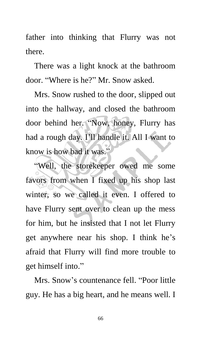father into thinking that Flurry was not there.

There was a light knock at the bathroom door. "Where is he?" Mr. Snow asked.

Mrs. Snow rushed to the door, slipped out into the hallway, and closed the bathroom door behind her. "Now, honey, Flurry has had a rough day. I'll handle it. All I want to know is how bad it was."

"Well, the storekeeper owed me some favors from when I fixed up his shop last winter, so we called it even. I offered to have Flurry sent over to clean up the mess for him, but he insisted that I not let Flurry get anywhere near his shop. I think he's afraid that Flurry will find more trouble to get himself into."

Mrs. Snow's countenance fell. "Poor little guy. He has a big heart, and he means well. I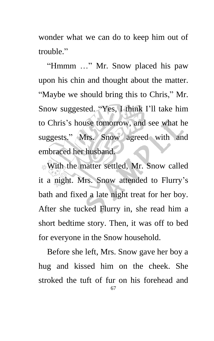wonder what we can do to keep him out of trouble."

"Hmmm …" Mr. Snow placed his paw upon his chin and thought about the matter. "Maybe we should bring this to Chris," Mr. Snow suggested. "Yes, I think I'll take him to Chris's house tomorrow, and see what he suggests." Mrs. Snow agreed with and embraced her husband.

With the matter settled, Mr. Snow called it a night. Mrs. Snow attended to Flurry's bath and fixed a late night treat for her boy. After she tucked Flurry in, she read him a short bedtime story. Then, it was off to bed for everyone in the Snow household.

67 Before she left, Mrs. Snow gave her boy a hug and kissed him on the cheek. She stroked the tuft of fur on his forehead and